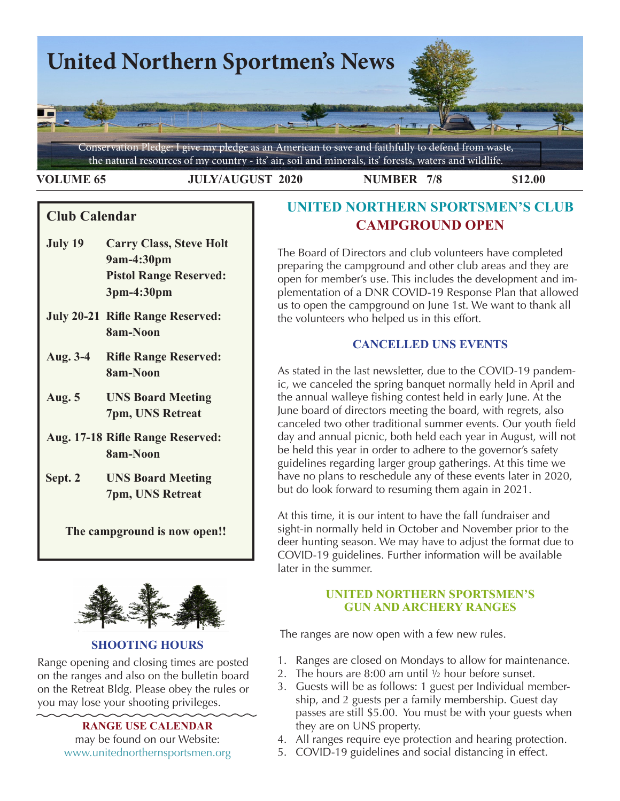

**VOLUME 65 JULY/AUGUST 2020 NUMBER 7/8 \$12.00** 

## **Club Calendar**

- **July 19 Carry Class, Steve Holt 9am-4:30pm Pistol Range Reserved: 3pm-4:30pm**
- **July 20-21 Rifle Range Reserved: 8am-Noon**
- **Aug. 3-4 Rifle Range Reserved: 8am-Noon**
- **Aug. 5 UNS Board Meeting 7pm, UNS Retreat**
- **Aug. 17-18 Rifle Range Reserved: 8am-Noon**
- **Sept. 2 UNS Board Meeting 7pm, UNS Retreat**

**The campground is now open!!**



### **SHOOTING HOURS**

Range opening and closing times are posted on the ranges and also on the bulletin board on the Retreat Bldg. Please obey the rules or you may lose your shooting privileges.

> **RANGE USE CALENDAR**  may be found on our Website: [www.unitednorthernsportsmen.org](http://www.unitednorthernsportsmen.org)

# **UNITED NORTHERN SPORTSMEN'S CLUB CAMPGROUND OPEN**

The Board of Directors and club volunteers have completed preparing the campground and other club areas and they are open for member's use. This includes the development and implementation of a DNR COVID-19 Response Plan that allowed us to open the campground on June 1st. We want to thank all the volunteers who helped us in this effort.

### **CANCELLED UNS EVENTS**

As stated in the last newsletter, due to the COVID-19 pandemic, we canceled the spring banquet normally held in April and the annual walleye fishing contest held in early June. At the June board of directors meeting the board, with regrets, also canceled two other traditional summer events. Our youth field day and annual picnic, both held each year in August, will not be held this year in order to adhere to the governor's safety guidelines regarding larger group gatherings. At this time we have no plans to reschedule any of these events later in 2020, but do look forward to resuming them again in 2021.

At this time, it is our intent to have the fall fundraiser and sight-in normally held in October and November prior to the deer hunting season. We may have to adjust the format due to COVID-19 guidelines. Further information will be available later in the summer.

### **UNITED NORTHERN SPORTSMEN'S GUN AND ARCHERY RANGES**

The ranges are now open with a few new rules.

- 1. Ranges are closed on Mondays to allow for maintenance.
- 2. The hours are 8:00 am until  $\frac{1}{2}$  hour before sunset.
- 3. Guests will be as follows: 1 guest per Individual membership, and 2 guests per a family membership. Guest day passes are still \$5.00. You must be with your guests when they are on UNS property.
- 4. All ranges require eye protection and hearing protection.
- 5. COVID-19 guidelines and social distancing in effect.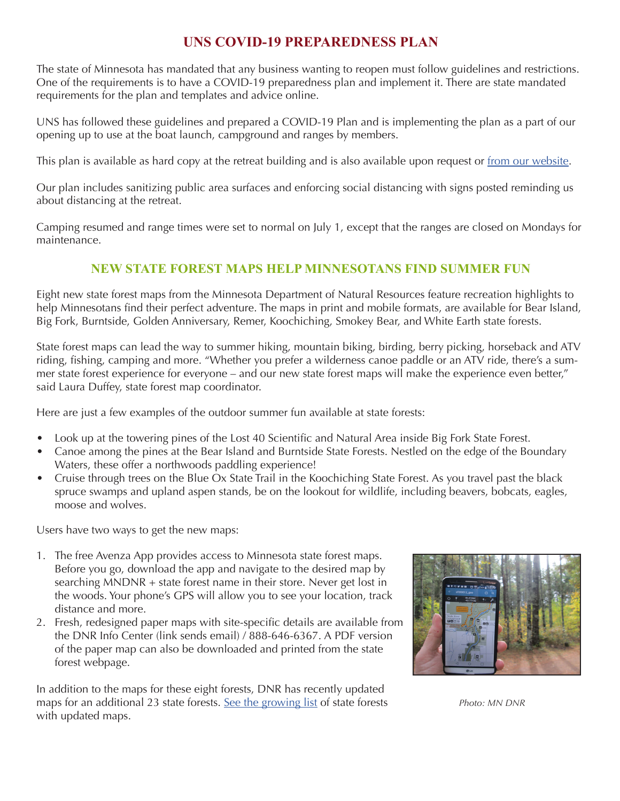## **UNS COVID-19 PREPAREDNESS PLAN**

The state of Minnesota has mandated that any business wanting to reopen must follow guidelines and restrictions. One of the requirements is to have a COVID-19 preparedness plan and implement it. There are state mandated requirements for the plan and templates and advice online.

UNS has followed these guidelines and prepared a COVID-19 Plan and is implementing the plan as a part of our opening up to use at the boat launch, campground and ranges by members.

This plan is available as hard copy at the retreat building and is also available upon request or [from our website.](http://unitednorthernsportsmen.org/Interesting%20UNS%20pictures%20and%20Events.htm)

Our plan includes sanitizing public area surfaces and enforcing social distancing with signs posted reminding us about distancing at the retreat.

Camping resumed and range times were set to normal on July 1, except that the ranges are closed on Mondays for maintenance.

## **NEW STATE FOREST MAPS HELP MINNESOTANS FIND SUMMER FUN**

Eight new state forest maps from the Minnesota Department of Natural Resources feature recreation highlights to help Minnesotans find their perfect adventure. The maps in print and mobile formats, are available for Bear Island, Big Fork, Burntside, Golden Anniversary, Remer, Koochiching, Smokey Bear, and White Earth state forests.

State forest maps can lead the way to summer hiking, mountain biking, birding, berry picking, horseback and ATV riding, fishing, camping and more. "Whether you prefer a wilderness canoe paddle or an ATV ride, there's a summer state forest experience for everyone – and our new state forest maps will make the experience even better," said Laura Duffey, state forest map coordinator.

Here are just a few examples of the outdoor summer fun available at state forests:

- Look up at the towering pines of the Lost 40 Scientific and Natural Area inside Big Fork State Forest.
- Canoe among the pines at the Bear Island and Burntside State Forests. Nestled on the edge of the Boundary Waters, these offer a northwoods paddling experience!
- Cruise through trees on the Blue Ox State Trail in the Koochiching State Forest. As you travel past the black spruce swamps and upland aspen stands, be on the lookout for wildlife, including beavers, bobcats, eagles, moose and wolves.

Users have two ways to get the new maps:

- 1. The free Avenza App provides access to Minnesota state forest maps. Before you go, download the app and navigate to the desired map by searching MNDNR + state forest name in their store. Never get lost in the woods. Your phone's GPS will allow you to see your location, track distance and more.
- 2. Fresh, redesigned paper maps with site-specific details are available from the DNR Info Center (link sends email) / 888-646-6367. A PDF version of the paper map can also be downloaded and printed from the state forest webpage.

In addition to the maps for these eight forests, DNR has recently updated maps for an additional 23 state forests. [See the growing list](https://www.dnr.state.mn.us/state_forests/maps-launch.html) of state forests *Photo: MN DNR* with updated maps.

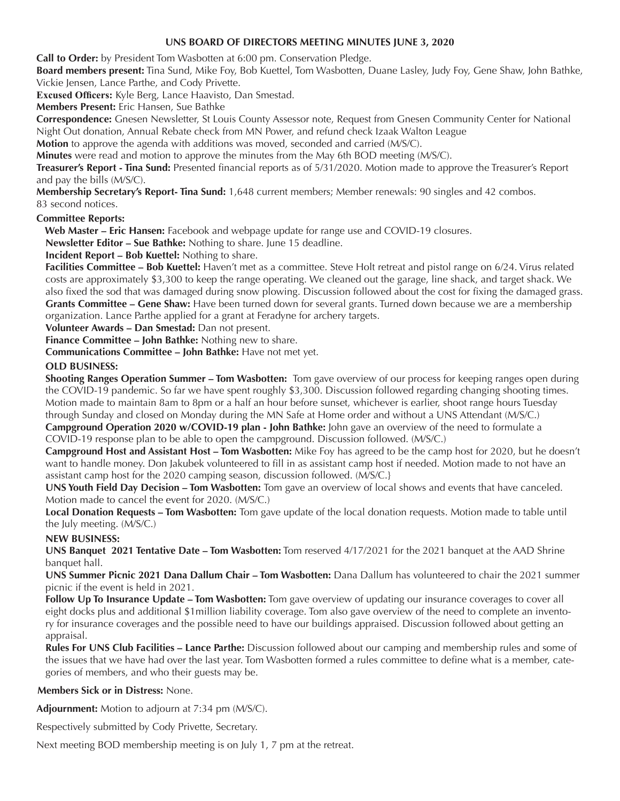#### **UNS BOARD OF DIRECTORS MEETING MINUTES JUNE 3, 2020**

**Call to Order:** by President Tom Wasbotten at 6:00 pm. Conservation Pledge.

**Board members present:** Thia Sund, Mike Toy,<br>Vickie Jensen, Lance Parthe, and Cody Privette. **Board members present:** Tina Sund, Mike Foy, Bob Kuettel, Tom Wasbotten, Duane Lasley, Judy Foy, Gene Shaw, John Bathke,

**Excused Officers:** Kyle Berg, Lance Haavisto, Dan Smestad.

**Members Present:** Eric Hansen, Sue Bathke

**Correspondence:** Gnesen Newsletter, St Louis County Assessor note, Request from Gnesen Community Center for National Night Out donation, Annual Rebate check from MN Power, and refund check Izaak Walton League

**Motion** to approve the agenda with additions was moved, seconded and carried (M/S/C).

**Minutes** were read and motion to approve the minutes from the May 6th BOD meeting (M/S/C).

**Treasurer's Report - Tina Sund:** Presented financial reports as of 5/31/2020. Motion made to approve the Treasurer's Report and pay the bills (M/S/C).

**Membership Secretary's Report- Tina Sund:** 1,648 current members; Member renewals: 90 singles and 42 combos. 83 second notices.

#### **Committee Reports:**

 **Web Master – Eric Hansen:** Facebook and webpage update for range use and COVID-19 closures.

**Newsletter Editor – Sue Bathke:** Nothing to share. June 15 deadline.

**Incident Report – Bob Kuettel:** Nothing to share.

**Facilities Committee – Bob Kuettel:** Haven't met as a committee. Steve Holt retreat and pistol range on 6/24. Virus related costs are approximately \$3,300 to keep the range operating. We cleaned out the garage, line shack, and target shack. We also fixed the sod that was damaged during snow plowing. Discussion followed about the cost for fixing the damaged grass. **Grants Committee – Gene Shaw:** Have been turned down for several grants. Turned down because we are a membership organization. Lance Parthe applied for a grant at Feradyne for archery targets.

**Volunteer Awards – Dan Smestad:** Dan not present.

**Finance Committee – John Bathke:** Nothing new to share.

**Communications Committee – John Bathke:** Have not met yet.

#### **OLD BUSINESS:**

**Shooting Ranges Operation Summer – Tom Wasbotten:** Tom gave overview of our process for keeping ranges open during the COVID-19 pandemic. So far we have spent roughly \$3,300. Discussion followed regarding changing shooting times. Motion made to maintain 8am to 8pm or a half an hour before sunset, whichever is earlier, shoot range hours Tuesday through Sunday and closed on Monday during the MN Safe at Home order and without a UNS Attendant (M/S/C.)

**Campground Operation 2020 w/COVID-19 plan - John Bathke:** John gave an overview of the need to formulate a COVID-19 response plan to be able to open the campground. Discussion followed. (M/S/C.)

**Campground Host and Assistant Host – Tom Wasbotten:** Mike Foy has agreed to be the camp host for 2020, but he doesn't want to handle money. Don Jakubek volunteered to fill in as assistant camp host if needed. Motion made to not have an assistant camp host for the 2020 camping season, discussion followed. (M/S/C.}

**UNS Youth Field Day Decision – Tom Wasbotten:** Tom gave an overview of local shows and events that have canceled. Motion made to cancel the event for 2020. (M/S/C.)

**Local Donation Requests – Tom Wasbotten:** Tom gave update of the local donation requests. Motion made to table until the July meeting. (M/S/C.)

#### **NEW BUSINESS:**

**UNS Banquet 2021 Tentative Date – Tom Wasbotten:** Tom reserved 4/17/2021 for the 2021 banquet at the AAD Shrine banquet hall.

**UNS Summer Picnic 2021 Dana Dallum Chair – Tom Wasbotten:** Dana Dallum has volunteered to chair the 2021 summer picnic if the event is held in 2021.

**Follow Up To Insurance Update – Tom Wasbotten:** Tom gave overview of updating our insurance coverages to cover all eight docks plus and additional \$1million liability coverage. Tom also gave overview of the need to complete an inventory for insurance coverages and the possible need to have our buildings appraised. Discussion followed about getting an appraisal.

**Rules For UNS Club Facilities – Lance Parthe:** Discussion followed about our camping and membership rules and some of the issues that we have had over the last year. Tom Wasbotten formed a rules committee to define what is a member, categories of members, and who their guests may be.

#### **Members Sick or in Distress:** None.

**Adjournment:** Motion to adjourn at 7:34 pm (M/S/C).

Respectively submitted by Cody Privette, Secretary.

Next meeting BOD membership meeting is on July 1, 7 pm at the retreat.